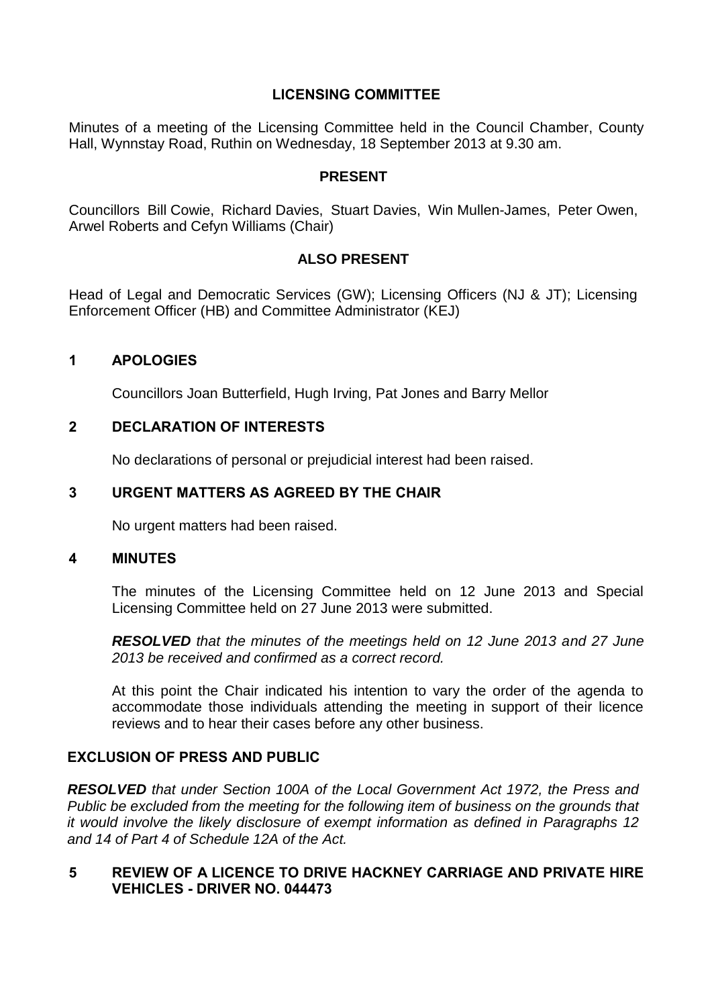# **LICENSING COMMITTEE**

Minutes of a meeting of the Licensing Committee held in the Council Chamber, County Hall, Wynnstay Road, Ruthin on Wednesday, 18 September 2013 at 9.30 am.

#### **PRESENT**

Councillors Bill Cowie, Richard Davies, Stuart Davies, Win Mullen-James, Peter Owen, Arwel Roberts and Cefyn Williams (Chair)

# **ALSO PRESENT**

Head of Legal and Democratic Services (GW); Licensing Officers (NJ & JT); Licensing Enforcement Officer (HB) and Committee Administrator (KEJ)

## **1 APOLOGIES**

Councillors Joan Butterfield, Hugh Irving, Pat Jones and Barry Mellor

# **2 DECLARATION OF INTERESTS**

No declarations of personal or prejudicial interest had been raised.

# **3 URGENT MATTERS AS AGREED BY THE CHAIR**

No urgent matters had been raised.

#### **4 MINUTES**

The minutes of the Licensing Committee held on 12 June 2013 and Special Licensing Committee held on 27 June 2013 were submitted.

*RESOLVED that the minutes of the meetings held on 12 June 2013 and 27 June 2013 be received and confirmed as a correct record.*

At this point the Chair indicated his intention to vary the order of the agenda to accommodate those individuals attending the meeting in support of their licence reviews and to hear their cases before any other business.

## **EXCLUSION OF PRESS AND PUBLIC**

*RESOLVED that under Section 100A of the Local Government Act 1972, the Press and Public be excluded from the meeting for the following item of business on the grounds that it would involve the likely disclosure of exempt information as defined in Paragraphs 12 and 14 of Part 4 of Schedule 12A of the Act.*

## **5 REVIEW OF A LICENCE TO DRIVE HACKNEY CARRIAGE AND PRIVATE HIRE VEHICLES - DRIVER NO. 044473**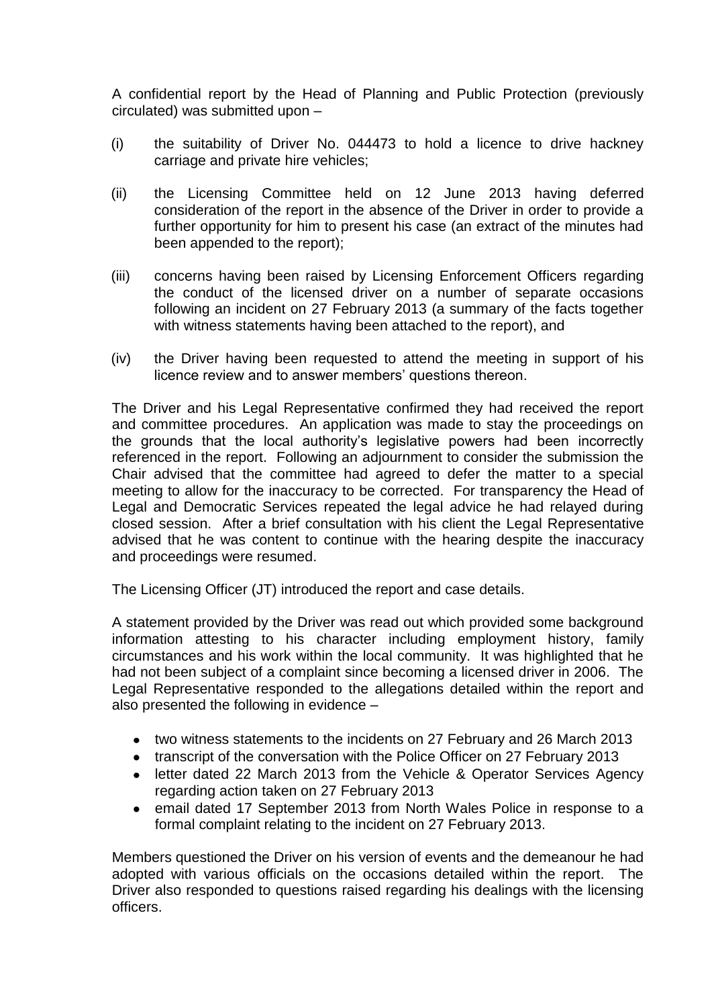A confidential report by the Head of Planning and Public Protection (previously circulated) was submitted upon –

- (i) the suitability of Driver No. 044473 to hold a licence to drive hackney carriage and private hire vehicles;
- (ii) the Licensing Committee held on 12 June 2013 having deferred consideration of the report in the absence of the Driver in order to provide a further opportunity for him to present his case (an extract of the minutes had been appended to the report);
- (iii) concerns having been raised by Licensing Enforcement Officers regarding the conduct of the licensed driver on a number of separate occasions following an incident on 27 February 2013 (a summary of the facts together with witness statements having been attached to the report), and
- (iv) the Driver having been requested to attend the meeting in support of his licence review and to answer members' questions thereon.

The Driver and his Legal Representative confirmed they had received the report and committee procedures. An application was made to stay the proceedings on the grounds that the local authority's legislative powers had been incorrectly referenced in the report. Following an adjournment to consider the submission the Chair advised that the committee had agreed to defer the matter to a special meeting to allow for the inaccuracy to be corrected. For transparency the Head of Legal and Democratic Services repeated the legal advice he had relayed during closed session. After a brief consultation with his client the Legal Representative advised that he was content to continue with the hearing despite the inaccuracy and proceedings were resumed.

The Licensing Officer (JT) introduced the report and case details.

A statement provided by the Driver was read out which provided some background information attesting to his character including employment history, family circumstances and his work within the local community. It was highlighted that he had not been subject of a complaint since becoming a licensed driver in 2006. The Legal Representative responded to the allegations detailed within the report and also presented the following in evidence –

- two witness statements to the incidents on 27 February and 26 March 2013
- transcript of the conversation with the Police Officer on 27 February 2013
- letter dated 22 March 2013 from the Vehicle & Operator Services Agency regarding action taken on 27 February 2013
- email dated 17 September 2013 from North Wales Police in response to a formal complaint relating to the incident on 27 February 2013.

Members questioned the Driver on his version of events and the demeanour he had adopted with various officials on the occasions detailed within the report. The Driver also responded to questions raised regarding his dealings with the licensing officers.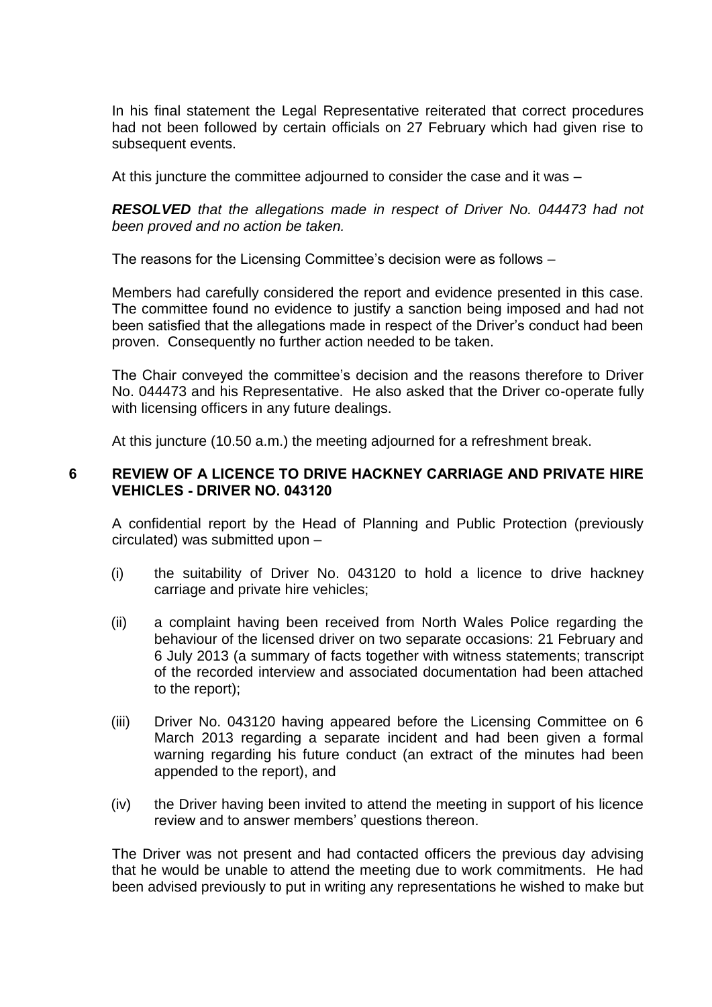In his final statement the Legal Representative reiterated that correct procedures had not been followed by certain officials on 27 February which had given rise to subsequent events.

At this juncture the committee adjourned to consider the case and it was –

*RESOLVED that the allegations made in respect of Driver No. 044473 had not been proved and no action be taken.*

The reasons for the Licensing Committee's decision were as follows –

Members had carefully considered the report and evidence presented in this case. The committee found no evidence to justify a sanction being imposed and had not been satisfied that the allegations made in respect of the Driver's conduct had been proven. Consequently no further action needed to be taken.

The Chair conveyed the committee's decision and the reasons therefore to Driver No. 044473 and his Representative. He also asked that the Driver co-operate fully with licensing officers in any future dealings.

At this juncture (10.50 a.m.) the meeting adjourned for a refreshment break.

## **6 REVIEW OF A LICENCE TO DRIVE HACKNEY CARRIAGE AND PRIVATE HIRE VEHICLES - DRIVER NO. 043120**

A confidential report by the Head of Planning and Public Protection (previously circulated) was submitted upon –

- (i) the suitability of Driver No. 043120 to hold a licence to drive hackney carriage and private hire vehicles;
- (ii) a complaint having been received from North Wales Police regarding the behaviour of the licensed driver on two separate occasions: 21 February and 6 July 2013 (a summary of facts together with witness statements; transcript of the recorded interview and associated documentation had been attached to the report);
- (iii) Driver No. 043120 having appeared before the Licensing Committee on 6 March 2013 regarding a separate incident and had been given a formal warning regarding his future conduct (an extract of the minutes had been appended to the report), and
- (iv) the Driver having been invited to attend the meeting in support of his licence review and to answer members' questions thereon.

The Driver was not present and had contacted officers the previous day advising that he would be unable to attend the meeting due to work commitments. He had been advised previously to put in writing any representations he wished to make but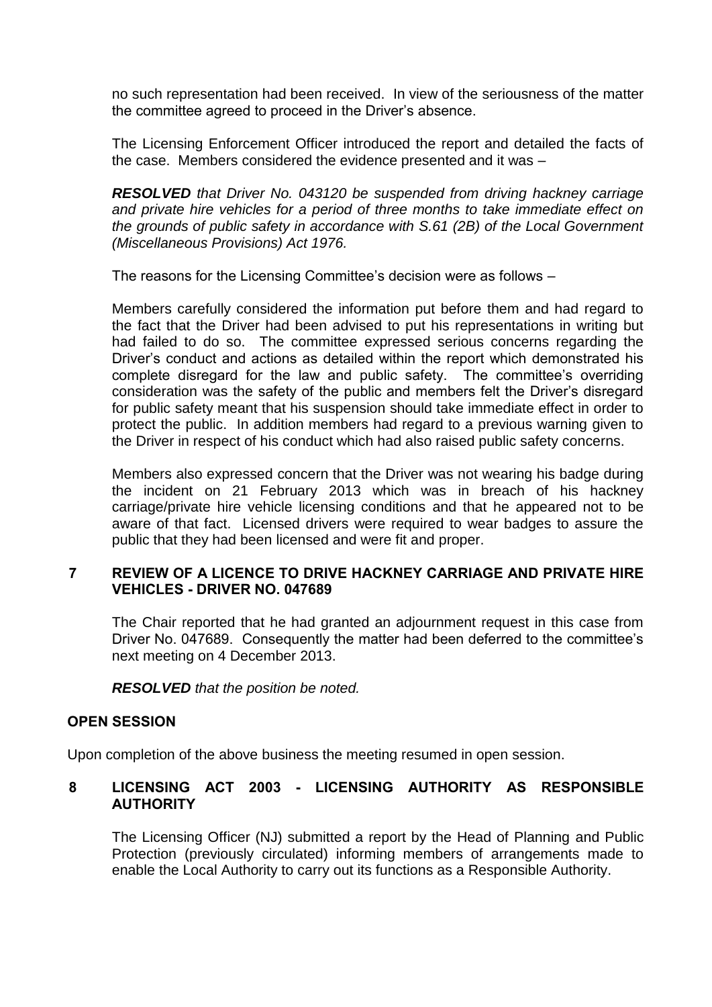no such representation had been received. In view of the seriousness of the matter the committee agreed to proceed in the Driver's absence.

The Licensing Enforcement Officer introduced the report and detailed the facts of the case. Members considered the evidence presented and it was –

*RESOLVED that Driver No. 043120 be suspended from driving hackney carriage and private hire vehicles for a period of three months to take immediate effect on the grounds of public safety in accordance with S.61 (2B) of the Local Government (Miscellaneous Provisions) Act 1976.*

The reasons for the Licensing Committee's decision were as follows –

Members carefully considered the information put before them and had regard to the fact that the Driver had been advised to put his representations in writing but had failed to do so. The committee expressed serious concerns regarding the Driver's conduct and actions as detailed within the report which demonstrated his complete disregard for the law and public safety. The committee's overriding consideration was the safety of the public and members felt the Driver's disregard for public safety meant that his suspension should take immediate effect in order to protect the public. In addition members had regard to a previous warning given to the Driver in respect of his conduct which had also raised public safety concerns.

Members also expressed concern that the Driver was not wearing his badge during the incident on 21 February 2013 which was in breach of his hackney carriage/private hire vehicle licensing conditions and that he appeared not to be aware of that fact. Licensed drivers were required to wear badges to assure the public that they had been licensed and were fit and proper.

## **7 REVIEW OF A LICENCE TO DRIVE HACKNEY CARRIAGE AND PRIVATE HIRE VEHICLES - DRIVER NO. 047689**

The Chair reported that he had granted an adjournment request in this case from Driver No. 047689. Consequently the matter had been deferred to the committee's next meeting on 4 December 2013.

*RESOLVED that the position be noted.*

## **OPEN SESSION**

Upon completion of the above business the meeting resumed in open session.

## **8 LICENSING ACT 2003 - LICENSING AUTHORITY AS RESPONSIBLE AUTHORITY**

The Licensing Officer (NJ) submitted a report by the Head of Planning and Public Protection (previously circulated) informing members of arrangements made to enable the Local Authority to carry out its functions as a Responsible Authority.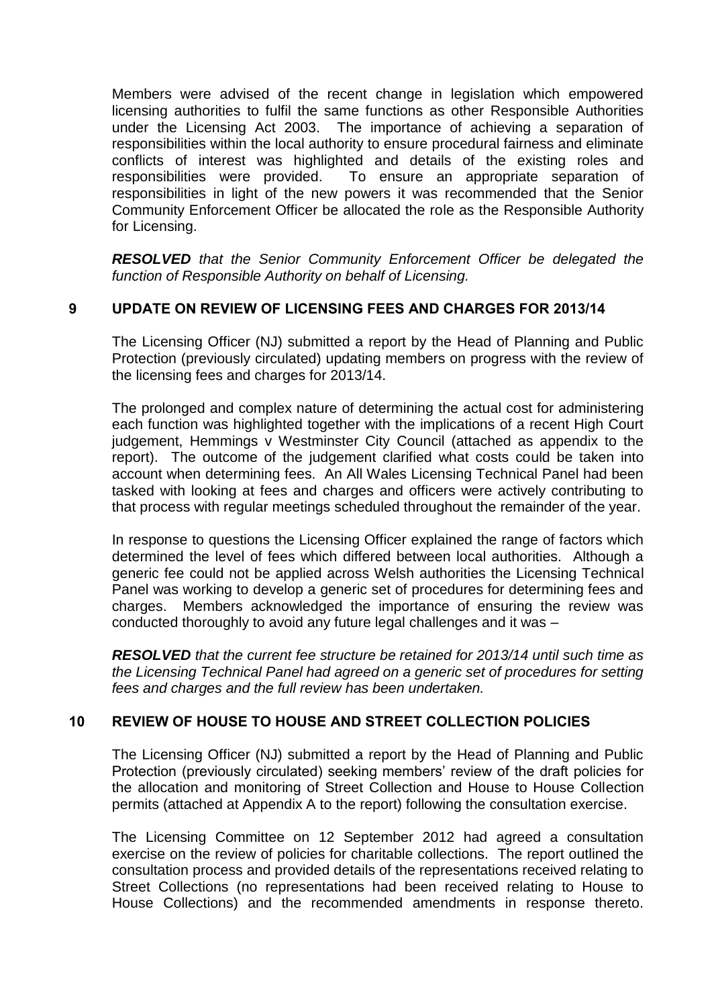Members were advised of the recent change in legislation which empowered licensing authorities to fulfil the same functions as other Responsible Authorities under the Licensing Act 2003. The importance of achieving a separation of responsibilities within the local authority to ensure procedural fairness and eliminate conflicts of interest was highlighted and details of the existing roles and responsibilities were provided. To ensure an appropriate separation of responsibilities in light of the new powers it was recommended that the Senior Community Enforcement Officer be allocated the role as the Responsible Authority for Licensing.

*RESOLVED that the Senior Community Enforcement Officer be delegated the function of Responsible Authority on behalf of Licensing.*

# **9 UPDATE ON REVIEW OF LICENSING FEES AND CHARGES FOR 2013/14**

The Licensing Officer (NJ) submitted a report by the Head of Planning and Public Protection (previously circulated) updating members on progress with the review of the licensing fees and charges for 2013/14.

The prolonged and complex nature of determining the actual cost for administering each function was highlighted together with the implications of a recent High Court judgement, Hemmings v Westminster City Council (attached as appendix to the report). The outcome of the judgement clarified what costs could be taken into account when determining fees. An All Wales Licensing Technical Panel had been tasked with looking at fees and charges and officers were actively contributing to that process with regular meetings scheduled throughout the remainder of the year.

In response to questions the Licensing Officer explained the range of factors which determined the level of fees which differed between local authorities. Although a generic fee could not be applied across Welsh authorities the Licensing Technical Panel was working to develop a generic set of procedures for determining fees and charges. Members acknowledged the importance of ensuring the review was conducted thoroughly to avoid any future legal challenges and it was –

*RESOLVED that the current fee structure be retained for 2013/14 until such time as the Licensing Technical Panel had agreed on a generic set of procedures for setting fees and charges and the full review has been undertaken.*

## **10 REVIEW OF HOUSE TO HOUSE AND STREET COLLECTION POLICIES**

The Licensing Officer (NJ) submitted a report by the Head of Planning and Public Protection (previously circulated) seeking members' review of the draft policies for the allocation and monitoring of Street Collection and House to House Collection permits (attached at Appendix A to the report) following the consultation exercise.

The Licensing Committee on 12 September 2012 had agreed a consultation exercise on the review of policies for charitable collections. The report outlined the consultation process and provided details of the representations received relating to Street Collections (no representations had been received relating to House to House Collections) and the recommended amendments in response thereto.